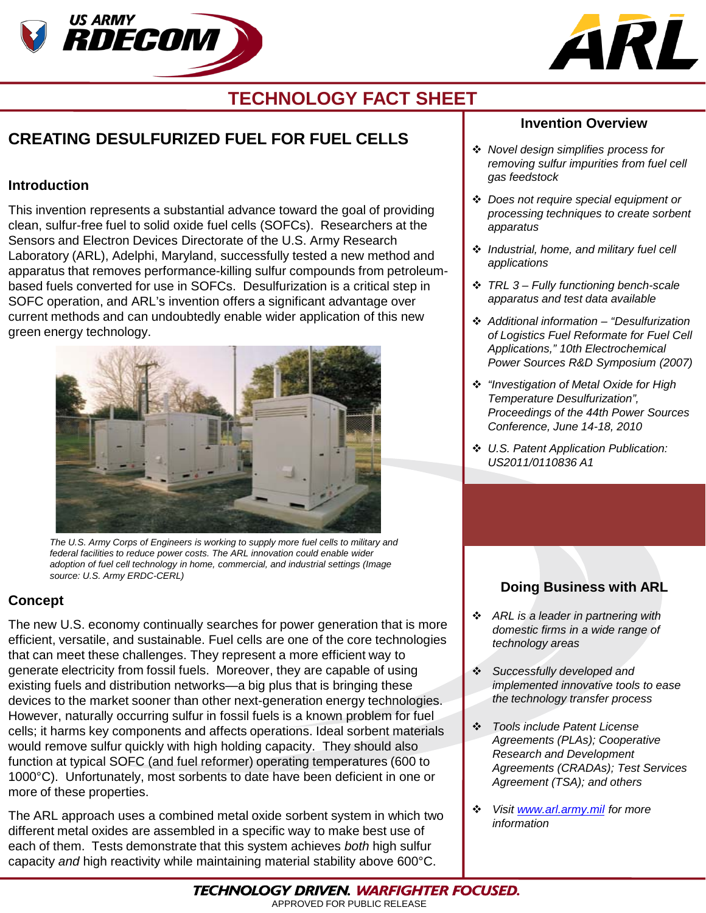



# **TECHNOLOGY FACT SHEET**

# **CREATING DESULFURIZED FUEL FOR FUEL CELLS**

### **Introduction**

This invention represents a substantial advance toward the goal of providing clean, sulfur-free fuel to solid oxide fuel cells (SOFCs). Researchers at the Sensors and Electron Devices Directorate of the U.S. Army Research Laboratory (ARL), Adelphi, Maryland, successfully tested a new method and apparatus that removes performance-killing sulfur compounds from petroleumbased fuels converted for use in SOFCs. Desulfurization is a critical step in SOFC operation, and ARL's invention offers a significant advantage over current methods and can undoubtedly enable wider application of this new green energy technology.



*The U.S. Army Corps of Engineers is working to supply more fuel cells to military and federal facilities to reduce power costs. The ARL innovation could enable wider adoption of fuel cell technology in home, commercial, and industrial settings (Image source: U.S. Army ERDC-CERL)*

## **Concept**

The new U.S. economy continually searches for power generation that is more efficient, versatile, and sustainable. Fuel cells are one of the core technologies that can meet these challenges. They represent a more efficient way to generate electricity from fossil fuels. Moreover, they are capable of using existing fuels and distribution networks—a big plus that is bringing these devices to the market sooner than other next-generation energy technologies. However, naturally occurring sulfur in fossil fuels is a known problem for fuel cells; it harms key components and affects operations. Ideal sorbent materials would remove sulfur quickly with high holding capacity. They should also function at typical SOFC (and fuel reformer) operating temperatures (600 to 1000°C). Unfortunately, most sorbents to date have been deficient in one or more of these properties.

The ARL approach uses a combined metal oxide sorbent system in which two different metal oxides are assembled in a specific way to make best use of each of them. Tests demonstrate that this system achieves *both* high sulfur capacity *and* high reactivity while maintaining material stability above 600°C.

#### **Invention Overview**

- *Novel design simplifies process for removing sulfur impurities from fuel cell gas feedstock*
- *Does not require special equipment or processing techniques to create sorbent apparatus*
- *Industrial, home, and military fuel cell applications*
- *TRL 3 – Fully functioning bench-scale apparatus and test data available*
- *Additional information – "Desulfurization of Logistics Fuel Reformate for Fuel Cell Applications," 10th Electrochemical Power Sources R&D Symposium (2007)*
- *"Investigation of Metal Oxide for High Temperature Desulfurization", Proceedings of the 44th Power Sources Conference, June 14-18, 2010*
- *U.S. Patent Application Publication: US2011/0110836 A1*

# **Doing Business with ARL**

- *ARL is a leader in partnering with domestic firms in a wide range of technology areas*
- *Successfully developed and implemented innovative tools to ease the technology transfer process*
- *Tools include Patent License Agreements (PLAs); Cooperative Research and Development Agreements (CRADAs); Test Services Agreement (TSA); and others*
- *Visit [www.arl.army.mil](http://www.arl.army.mil/) for more information*